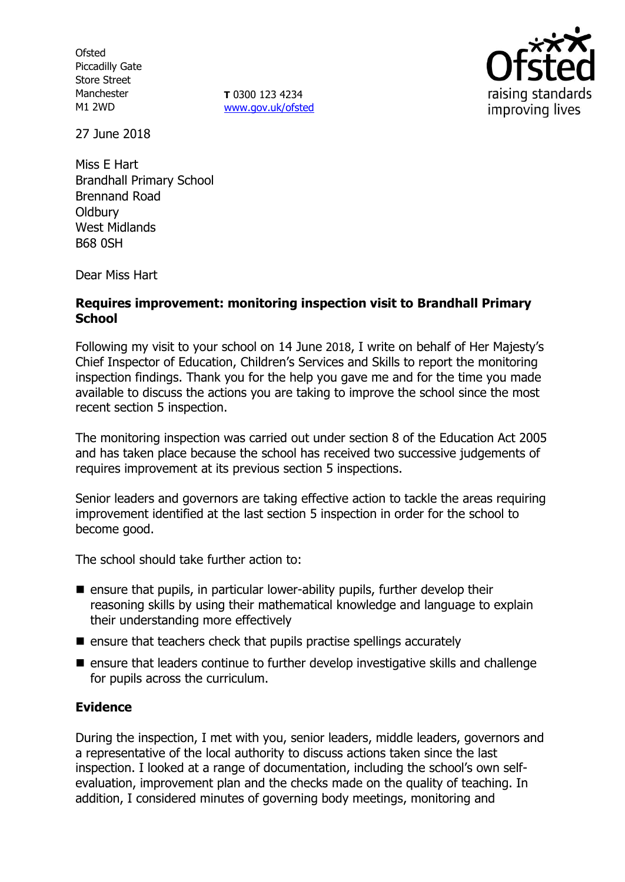**Ofsted** Piccadilly Gate Store Street Manchester M1 2WD

**T** 0300 123 4234 [www.gov.uk/ofsted](http://www.gov.uk/ofsted)



27 June 2018

Miss E Hart Brandhall Primary School Brennand Road **Oldbury** West Midlands B68 0SH

Dear Miss Hart

### **Requires improvement: monitoring inspection visit to Brandhall Primary School**

Following my visit to your school on 14 June 2018, I write on behalf of Her Majesty's Chief Inspector of Education, Children's Services and Skills to report the monitoring inspection findings. Thank you for the help you gave me and for the time you made available to discuss the actions you are taking to improve the school since the most recent section 5 inspection.

The monitoring inspection was carried out under section 8 of the Education Act 2005 and has taken place because the school has received two successive judgements of requires improvement at its previous section 5 inspections.

Senior leaders and governors are taking effective action to tackle the areas requiring improvement identified at the last section 5 inspection in order for the school to become good.

The school should take further action to:

- **E** ensure that pupils, in particular lower-ability pupils, further develop their reasoning skills by using their mathematical knowledge and language to explain their understanding more effectively
- $\blacksquare$  ensure that teachers check that pupils practise spellings accurately
- ensure that leaders continue to further develop investigative skills and challenge for pupils across the curriculum.

### **Evidence**

During the inspection, I met with you, senior leaders, middle leaders, governors and a representative of the local authority to discuss actions taken since the last inspection. I looked at a range of documentation, including the school's own selfevaluation, improvement plan and the checks made on the quality of teaching. In addition, I considered minutes of governing body meetings, monitoring and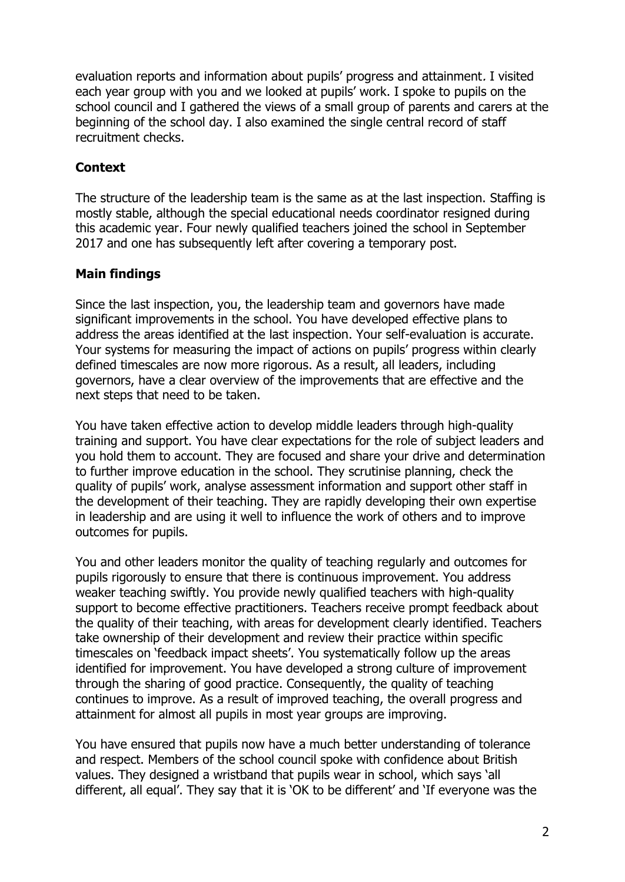evaluation reports and information about pupils' progress and attainment. I visited each year group with you and we looked at pupils' work. I spoke to pupils on the school council and I gathered the views of a small group of parents and carers at the beginning of the school day. I also examined the single central record of staff recruitment checks.

## **Context**

The structure of the leadership team is the same as at the last inspection. Staffing is mostly stable, although the special educational needs coordinator resigned during this academic year. Four newly qualified teachers joined the school in September 2017 and one has subsequently left after covering a temporary post.

# **Main findings**

Since the last inspection, you, the leadership team and governors have made significant improvements in the school. You have developed effective plans to address the areas identified at the last inspection. Your self-evaluation is accurate. Your systems for measuring the impact of actions on pupils' progress within clearly defined timescales are now more rigorous. As a result, all leaders, including governors, have a clear overview of the improvements that are effective and the next steps that need to be taken.

You have taken effective action to develop middle leaders through high-quality training and support. You have clear expectations for the role of subject leaders and you hold them to account. They are focused and share your drive and determination to further improve education in the school. They scrutinise planning, check the quality of pupils' work, analyse assessment information and support other staff in the development of their teaching. They are rapidly developing their own expertise in leadership and are using it well to influence the work of others and to improve outcomes for pupils.

You and other leaders monitor the quality of teaching regularly and outcomes for pupils rigorously to ensure that there is continuous improvement. You address weaker teaching swiftly. You provide newly qualified teachers with high-quality support to become effective practitioners. Teachers receive prompt feedback about the quality of their teaching, with areas for development clearly identified. Teachers take ownership of their development and review their practice within specific timescales on 'feedback impact sheets'. You systematically follow up the areas identified for improvement. You have developed a strong culture of improvement through the sharing of good practice. Consequently, the quality of teaching continues to improve. As a result of improved teaching, the overall progress and attainment for almost all pupils in most year groups are improving.

You have ensured that pupils now have a much better understanding of tolerance and respect. Members of the school council spoke with confidence about British values. They designed a wristband that pupils wear in school, which says 'all different, all equal'. They say that it is 'OK to be different' and 'If everyone was the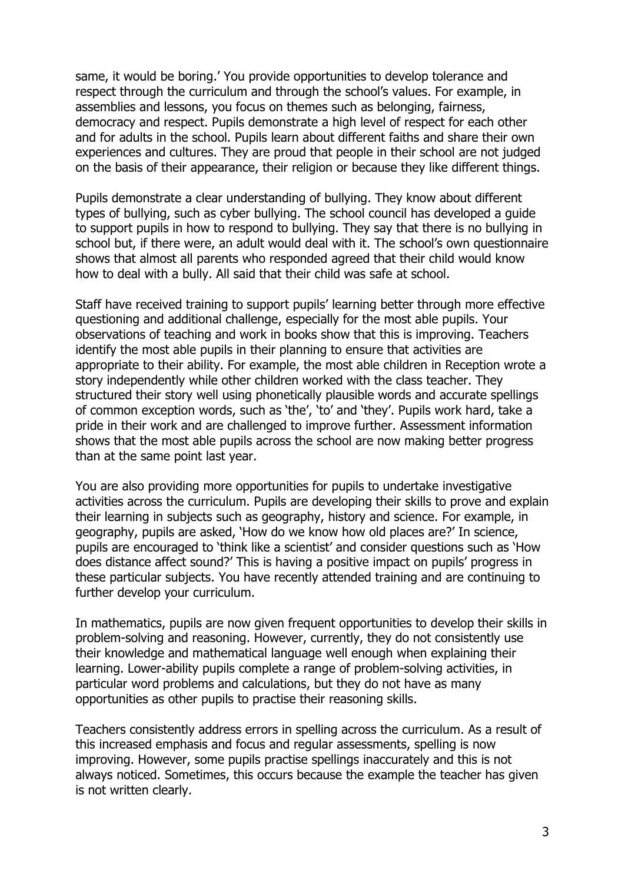same, it would be boring.' You provide opportunities to develop tolerance and respect through the curriculum and through the school's values. For example, in assemblies and lessons, you focus on themes such as belonging, fairness, democracy and respect. Pupils demonstrate a high level of respect for each other and for adults in the school. Pupils learn about different faiths and share their own experiences and cultures. They are proud that people in their school are not judged on the basis of their appearance, their religion or because they like different things.

Pupils demonstrate a clear understanding of bullying. They know about different types of bullying, such as cyber bullying. The school council has developed a guide to support pupils in how to respond to bullying. They say that there is no bullying in school but, if there were, an adult would deal with it. The school's own questionnaire shows that almost all parents who responded agreed that their child would know how to deal with a bully. All said that their child was safe at school.

Staff have received training to support pupils' learning better through more effective questioning and additional challenge, especially for the most able pupils. Your observations of teaching and work in books show that this is improving. Teachers identify the most able pupils in their planning to ensure that activities are appropriate to their ability. For example, the most able children in Reception wrote a story independently while other children worked with the class teacher. They structured their story well using phonetically plausible words and accurate spellings of common exception words, such as 'the', 'to' and 'they'. Pupils work hard, take a pride in their work and are challenged to improve further. Assessment information shows that the most able pupils across the school are now making better progress than at the same point last year.

You are also providing more opportunities for pupils to undertake investigative activities across the curriculum. Pupils are developing their skills to prove and explain their learning in subjects such as geography, history and science. For example, in geography, pupils are asked, 'How do we know how old places are?' In science, pupils are encouraged to 'think like a scientist' and consider questions such as 'How does distance affect sound?' This is having a positive impact on pupils' progress in these particular subjects. You have recently attended training and are continuing to further develop your curriculum.

In mathematics, pupils are now given frequent opportunities to develop their skills in problem-solving and reasoning. However, currently, they do not consistently use their knowledge and mathematical language well enough when explaining their learning. Lower-ability pupils complete a range of problem-solving activities, in particular word problems and calculations, but they do not have as many opportunities as other pupils to practise their reasoning skills.

Teachers consistently address errors in spelling across the curriculum. As a result of this increased emphasis and focus and regular assessments, spelling is now improving. However, some pupils practise spellings inaccurately and this is not always noticed. Sometimes, this occurs because the example the teacher has given is not written clearly.